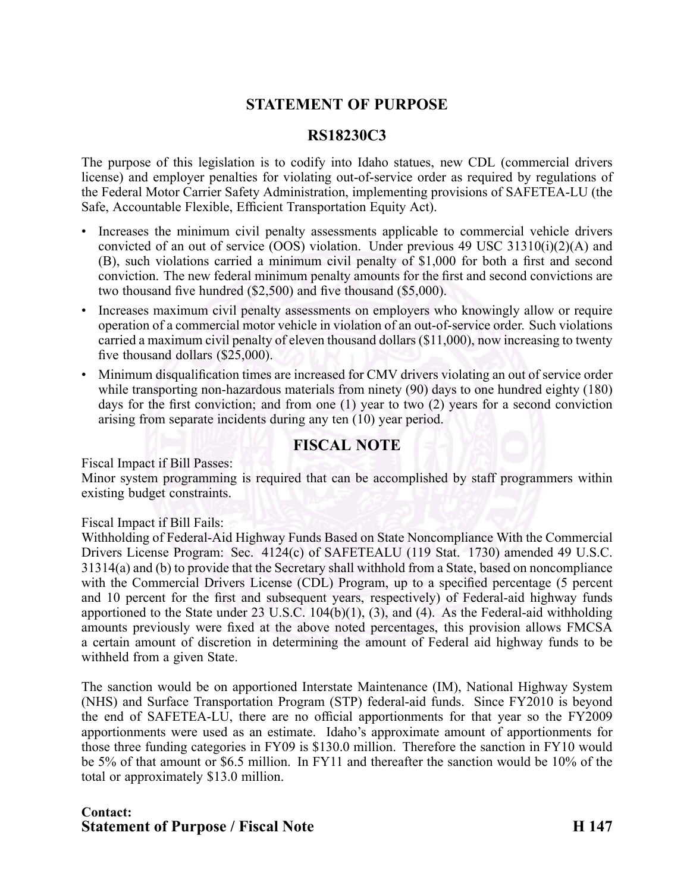# **STATEMENT OF PURPOSE**

## **RS18230C3**

The purpose of this legislation is to codify into Idaho statues, new CDL (commercial drivers license) and employer penalties for violating out-of-service order as required by regulations of the Federal Motor Carrier Safety Administration, implementing provisions of SAFETEALU (the Safe, Accountable Flexible, Efficient Transportation Equity Act).

- Increases the minimum civil penalty assessments applicable to commercial vehicle drivers convicted of an out of service (OOS) violation. Under previous 49 USC 31310(i)(2)(A) and (B), such violations carried <sup>a</sup> minimum civil penalty of \$1,000 for both <sup>a</sup> first and second conviction. The new federal minimum penalty amounts for the first and second convictions are two thousand five hundred (\$2,500) and five thousand (\$5,000).
- • Increases maximum civil penalty assessments on employers who knowingly allow or require operation of a commercial motor vehicle in violation of an out-of-service order. Such violations carried <sup>a</sup> maximum civil penalty of eleven thousand dollars (\$11,000), now increasing to twenty five thousand dollars (\$25,000).
- • Minimum disqualification times are increased for CMV drivers violating an out of service order while transporting non-hazardous materials from ninety (90) days to one hundred eighty (180) days for the first conviction; and from one (1) year to two (2) years for <sup>a</sup> second conviction arising from separate incidents during any ten (10) year period.

### **FISCAL NOTE**

Fiscal Impact if Bill Passes:

Minor system programming is required that can be accomplished by staff programmers within existing budget constraints.

#### Fiscal Impact if Bill Fails:

Withholding of Federal-Aid Highway Funds Based on State Noncompliance With the Commercial Drivers License Program: Sec. 4124(c) of SAFETEALU (119 Stat. 1730) amended 49 U.S.C. 31314(a) and (b) to provide that the Secretary shall withhold from <sup>a</sup> State, based on noncompliance with the Commercial Drivers License (CDL) Program, up to a specified percentage (5 percent and 10 percent for the first and subsequent years, respectively) of Federal-aid highway funds apportioned to the State under  $23 \text{ U.S.C. } 104(b)(1)$ ,  $(3)$ , and  $(4)$ . As the Federal-aid withholding amounts previously were fixed at the above noted percentages, this provision allows FMCSA <sup>a</sup> certain amount of discretion in determining the amount of Federal aid highway funds to be withheld from <sup>a</sup> given State.

The sanction would be on apportioned Interstate Maintenance (IM), National Highway System (NHS) and Surface Transportation Program (STP) federal-aid funds. Since FY2010 is beyond the end of SAFETEALU, there are no official apportionments for that year so the FY2009 apportionments were used as an estimate. Idaho's approximate amount of apportionments for those three funding categories in FY09 is \$130.0 million. Therefore the sanction in FY10 would be 5% of that amount or \$6.5 million. In FY11 and thereafter the sanction would be 10% of the total or approximately \$13.0 million.

### **Contact: Statement of Purpose / Fiscal Note H 147**